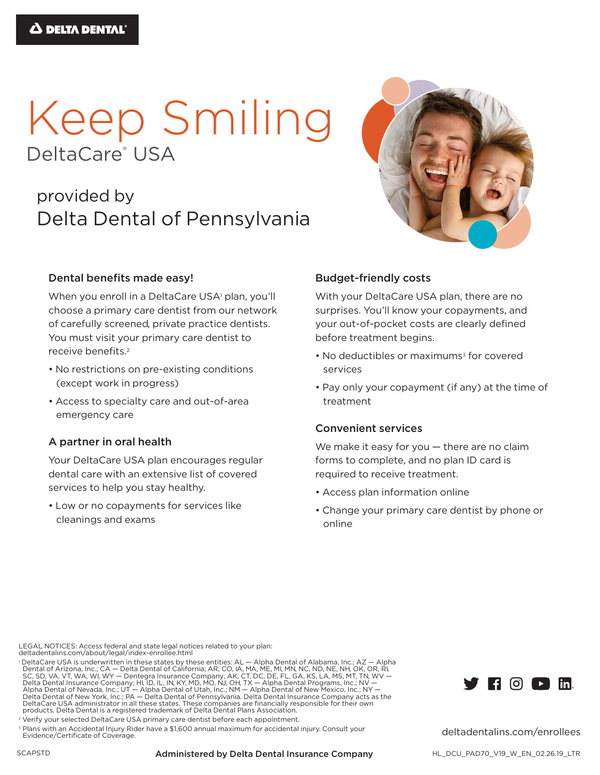# Keep Smiling DeltaCare<sup>®</sup> USA

# provided by Delta Dental of Pennsylvania

# Dental benefits made easy!

When you enroll in a DeltaCare USA<sup>1</sup> plan, you'll choose a primary care dentist from our network of carefully screened, private practice dentists. You must visit your primary care dentist to receive benefits.<sup>2</sup>

- No restrictions on pre-existing conditions (except work in progress)
- Access to specialty care and out-of-area emergency care

## A partner in oral health

Your DeltaCare USA plan encourages regular dental care with an extensive list of covered services to help you stay healthy.

• Low or no copayments for services like cleanings and exams

## **Budget-friendly costs**

With your DeltaCare USA plan, there are no surprises. You'll know your copayments, and your out-of-pocket costs are clearly defined before treatment begins.

- No deductibles or maximums<sup>3</sup> for covered services
- Pay only your copayment (if any) at the time of treatment

## **Convenient services**

We make it easy for you - there are no claim forms to complete, and no plan ID card is required to receive treatment.

- Access plan information online
- Change your primary care dentist by phone or online

LEGAL NOTICES: Access federal and state legal notices related to your plan: deltadentalins.com/about/legal/index-enrollee.html

dentaler using about regary interventions. Then the sections are pointed of Alabama, Inc.; AZ — Alpha<br>
Dental of Arizona, Inc.; CA — Delta Dental of California; AR, CO, IA, MA, ME, MI, MN, NC, ND, NE, NH, OK, OR, RI,<br>
SC, DeltaCare USA administrator in all these states. These companies are financially responsible for their own<br>products. Delta Dental is a registered trademark of Delta Dental Plans Association.

<sup>2</sup> Verify your selected DeltaCare USA primary care dentist before each appointment.

<sup>3</sup> Plans with an Accidental Injury Rider have a \$1,600 annual maximum for accidental injury. Consult your Evidence/Certificate of Coverage.



deltadentalins.com/enrollees

#### **Administered by Delta Dental Insurance Company**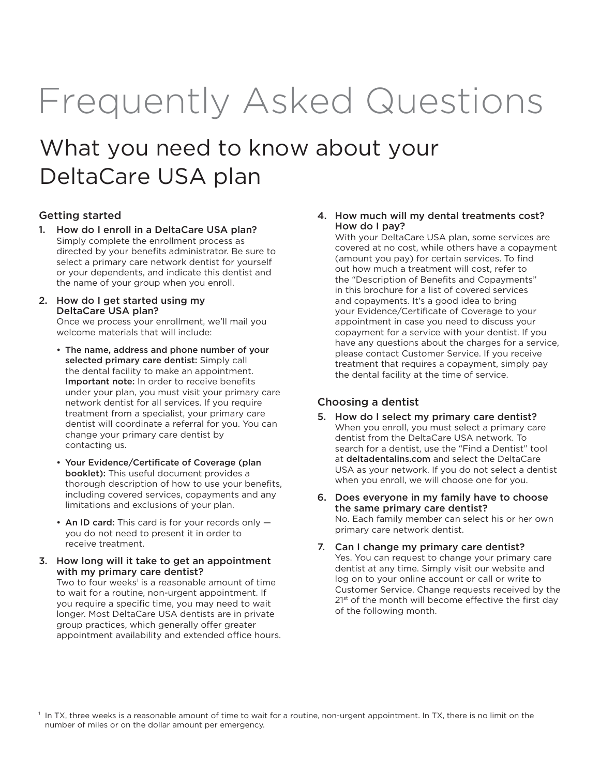# Frequently Asked Questions

# What you need to know about your DeltaCare USA plan

#### Getting started

- 1. How do I enroll in a DeltaCare USA plan? Simply complete the enrollment process as directed by your benefits administrator. Be sure to select a primary care network dentist for yourself or your dependents, and indicate this dentist and the name of your group when you enroll.
- 2. How do I get started using my DeltaCare USA plan?

Once we process your enrollment, we'll mail you welcome materials that will include:

- The name, address and phone number of your selected primary care dentist: Simply call the dental facility to make an appointment. Important note: In order to receive benefits under your plan, you must visit your primary care network dentist for all services. If you require treatment from a specialist, your primary care dentist will coordinate a referral for you. You can change your primary care dentist by contacting us.
- Your Evidence/Certificate of Coverage (plan booklet): This useful document provides a thorough description of how to use your benefits, including covered services, copayments and any limitations and exclusions of your plan.
- An ID card: This card is for your records only you do not need to present it in order to receive treatment.
- 3. How long will it take to get an appointment with my primary care dentist?

Two to four weeks<sup>1</sup> is a reasonable amount of time to wait for a routine, non-urgent appointment. If you require a specific time, you may need to wait longer. Most DeltaCare USA dentists are in private group practices, which generally offer greater appointment availability and extended office hours.

#### 4. How much will my dental treatments cost? How do I pay?

With your DeltaCare USA plan, some services are covered at no cost, while others have a copayment (amount you pay) for certain services. To find out how much a treatment will cost, refer to the "Description of Benefits and Copayments" in this brochure for a list of covered services and copayments. It's a good idea to bring your Evidence/Certificate of Coverage to your appointment in case you need to discuss your copayment for a service with your dentist. If you have any questions about the charges for a service, please contact Customer Service. If you receive treatment that requires a copayment, simply pay the dental facility at the time of service.

#### Choosing a dentist

- 5. How do I select my primary care dentist? When you enroll, you must select a primary care dentist from the DeltaCare USA network. To search for a dentist, use the "Find a Dentist" tool at deltadentalins.com and select the DeltaCare USA as your network. If you do not select a dentist when you enroll, we will choose one for you.
- 6. Does everyone in my family have to choose the same primary care dentist? No. Each family member can select his or her own primary care network dentist.
- 7. Can I change my primary care dentist? Yes. You can request to change your primary care dentist at any time. Simply visit our website and log on to your online account or call or write to Customer Service. Change requests received by the 2<sup>1st</sup> of the month will become effective the first day of the following month.

<sup>1</sup> In TX, three weeks is a reasonable amount of time to wait for a routine, non-urgent appointment. In TX, there is no limit on the number of miles or on the dollar amount per emergency.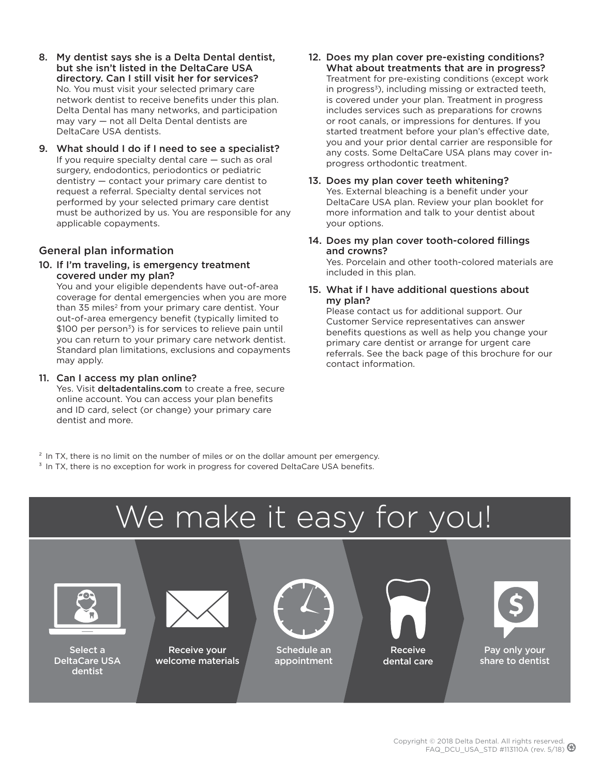- 8. My dentist says she is a Delta Dental dentist, but she isn't listed in the DeltaCare USA directory. Can I still visit her for services? No. You must visit your selected primary care network dentist to receive benefits under this plan. Delta Dental has many networks, and participation may vary — not all Delta Dental dentists are DeltaCare USA dentists.
- 9. What should I do if I need to see a specialist? If you require specialty dental care — such as oral surgery, endodontics, periodontics or pediatric dentistry — contact your primary care dentist to request a referral. Specialty dental services not performed by your selected primary care dentist must be authorized by us. You are responsible for any applicable copayments.

#### General plan information

10. If I'm traveling, is emergency treatment covered under my plan?

You and your eligible dependents have out-of-area coverage for dental emergencies when you are more than 35 miles<sup>2</sup> from your primary care dentist. Your out-of-area emergency benefit (typically limited to \$100 per person<sup>3</sup>) is for services to relieve pain until you can return to your primary care network dentist. Standard plan limitations, exclusions and copayments may apply.

#### 11. Can I access my plan online?

Yes. Visit deltadentalins.com to create a free, secure online account. You can access your plan benefits and ID card, select (or change) your primary care dentist and more.

- 12. Does my plan cover pre-existing conditions? What about treatments that are in progress? Treatment for pre-existing conditions (except work in progress<sup>3</sup>), including missing or extracted teeth, is covered under your plan. Treatment in progress includes services such as preparations for crowns or root canals, or impressions for dentures. If you started treatment before your plan's effective date, you and your prior dental carrier are responsible for any costs. Some DeltaCare USA plans may cover inprogress orthodontic treatment.
- 13. Does my plan cover teeth whitening? Yes. External bleaching is a benefit under your DeltaCare USA plan. Review your plan booklet for more information and talk to your dentist about your options.
- 14. Does my plan cover tooth-colored fillings and crowns? Yes. Porcelain and other tooth-colored materials are included in this plan.
- 15. What if I have additional questions about my plan?

Please contact us for additional support. Our Customer Service representatives can answer benefits questions as well as help you change your primary care dentist or arrange for urgent care referrals. See the back page of this brochure for our contact information.

<sup>2</sup> In TX, there is no limit on the number of miles or on the dollar amount per emergency.

<sup>3</sup> In TX, there is no exception for work in progress for covered DeltaCare USA benefits.

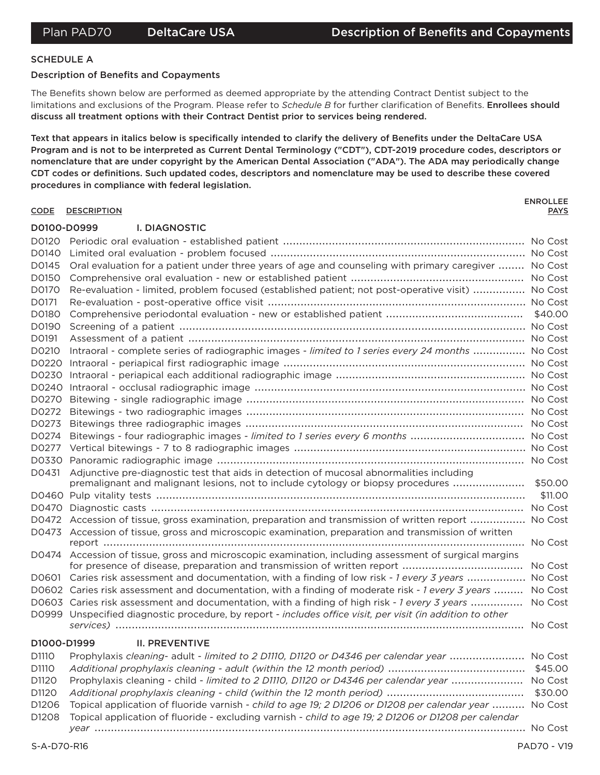### **SCHEDULE A**

#### **Description of Benefits and Copayments**

The Benefits shown below are performed as deemed appropriate by the attending Contract Dentist subject to the limitations and exclusions of the Program. Please refer to Schedule B for further clarification of Benefits. Enrollees should discuss all treatment options with their Contract Dentist prior to services being rendered.

Text that appears in italics below is specifically intended to clarify the delivery of Benefits under the DeltaCare USA Program and is not to be interpreted as Current Dental Terminology ("CDT"), CDT-2019 procedure codes, descriptors or nomenclature that are under copyright by the American Dental Association ("ADA"). The ADA may periodically change CDT codes or definitions. Such updated codes, descriptors and nomenclature may be used to describe these covered procedures in compliance with federal legislation.

#### CODE DESCRIPTION

**ENROLLEE PAYS** 

#### D0100-D0999 **I. DIAGNOSTIC**

| D0120       |                                                                                                            |         |
|-------------|------------------------------------------------------------------------------------------------------------|---------|
| D0140       |                                                                                                            |         |
| D0145       | Oral evaluation for a patient under three years of age and counseling with primary caregiver  No Cost      |         |
| D0150       |                                                                                                            |         |
| D0170       | Re-evaluation - limited, problem focused (established patient; not post-operative visit)  No Cost          |         |
| D0171       |                                                                                                            |         |
| D0180       |                                                                                                            |         |
| D0190       |                                                                                                            |         |
| D0191       |                                                                                                            |         |
| D0210       | Intraoral - complete series of radiographic images - limited to 1 series every 24 months  No Cost          |         |
| D0220       |                                                                                                            |         |
| D0230       |                                                                                                            |         |
| D0240       |                                                                                                            |         |
| D0270       |                                                                                                            |         |
| D0272       |                                                                                                            |         |
| D0273       |                                                                                                            |         |
| D0274       | Bitewings - four radiographic images - limited to 1 series every 6 months  No Cost                         |         |
| D0277       |                                                                                                            |         |
| D0330       |                                                                                                            |         |
| D0431       | Adjunctive pre-diagnostic test that aids in detection of mucosal abnormalities including                   |         |
|             | premalignant and malignant lesions, not to include cytology or biopsy procedures                           | \$50.00 |
|             |                                                                                                            | \$11.00 |
|             |                                                                                                            |         |
|             | D0472 Accession of tissue, gross examination, preparation and transmission of written report  No Cost      |         |
| D0473       | Accession of tissue, gross and microscopic examination, preparation and transmission of written            |         |
| D0474       | Accession of tissue, gross and microscopic examination, including assessment of surgical margins           |         |
|             |                                                                                                            |         |
|             | D0601 Caries risk assessment and documentation, with a finding of low risk - 1 every 3 years  No Cost      |         |
|             | D0602 Caries risk assessment and documentation, with a finding of moderate risk - 1 every 3 years          | No Cost |
|             | D0603 Caries risk assessment and documentation, with a finding of high risk - 1 every 3 years              | No Cost |
|             | D0999 Unspecified diagnostic procedure, by report - includes office visit, per visit (in addition to other |         |
|             |                                                                                                            |         |
| D1000-D1999 | <b>II. PREVENTIVE</b>                                                                                      |         |
| D1110       | Prophylaxis cleaning- adult - limited to 2 D1110, D1120 or D4346 per calendar year  No Cost                |         |
| D1110       |                                                                                                            |         |
| D1120       | Prophylaxis cleaning - child - limited to 2 D1110, D1120 or D4346 per calendar year  No Cost               |         |
| D1120       |                                                                                                            | \$30.00 |
| D1206       | Topical application of fluoride varnish - child to age 19; 2 D1206 or D1208 per calendar year  No Cost     |         |
| D1208       | Topical application of fluoride - excluding varnish - child to age 19; 2 D1206 or D1208 per calendar       |         |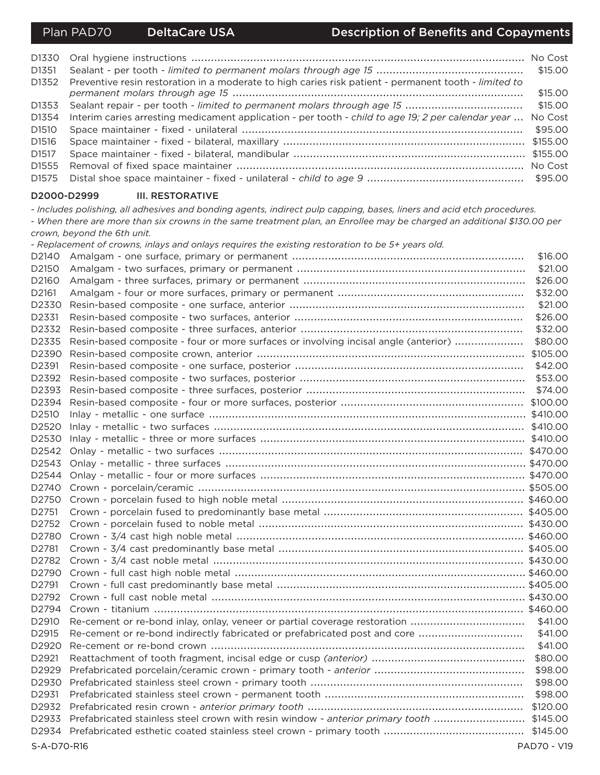D1330 D<sub>1351</sub> \$15,00 D<sub>1352</sub> Preventive resin restoration in a moderate to high caries risk patient - permanent tooth - limited to \$15.00 D<sub>1353</sub> \$15,00 D1354 Interim caries arresting medicament application - per tooth - child to age 19; 2 per calendar year ... No Cost D<sub>1510</sub> \$95,00 D1516 D<sub>1517</sub> D1555 D1575 

#### D2000-D2999 **III. RESTORATIVE**

- Includes polishing, all adhesives and bonding agents, indirect pulp capping, bases, liners and acid etch procedures.

- When there are more than six crowns in the same treatment plan, an Enrollee may be charged an additional \$130.00 per crown, bevond the 6th unit.

- Replacement of crowns, inlays and onlays requires the existing restoration to be 5+ years old.

| D2140             |                                                                                         | \$16,00            |
|-------------------|-----------------------------------------------------------------------------------------|--------------------|
| D2150             |                                                                                         | \$21.00            |
| D2160             |                                                                                         | \$26.00            |
| D2161             |                                                                                         | \$32.00            |
| D2330             |                                                                                         | \$21.00            |
| D2331             |                                                                                         | \$26.00            |
| D2332             |                                                                                         | \$32.00            |
| D2335             | Resin-based composite - four or more surfaces or involving incisal angle (anterior)     | \$80.00            |
| D2390             |                                                                                         |                    |
| D2391             |                                                                                         | \$42.00            |
| D2392             |                                                                                         | \$53.00            |
| D2393             |                                                                                         | \$74.00            |
| D2394             |                                                                                         |                    |
| D2510             |                                                                                         |                    |
| D2520             |                                                                                         |                    |
| D2530             |                                                                                         |                    |
| D2542             |                                                                                         |                    |
| D2543             |                                                                                         |                    |
| D2544             |                                                                                         |                    |
| D2740             |                                                                                         |                    |
| D2750             |                                                                                         |                    |
| D <sub>2751</sub> |                                                                                         |                    |
| D2752             |                                                                                         |                    |
| D2780             |                                                                                         |                    |
| D2781             |                                                                                         |                    |
| D2782             |                                                                                         |                    |
| D2790             |                                                                                         |                    |
| D2791             |                                                                                         |                    |
| D2792             |                                                                                         |                    |
| D2794             |                                                                                         |                    |
| D2910             | Re-cement or re-bond inlay, onlay, veneer or partial coverage restoration               | \$41.00            |
| D2915             | Re-cement or re-bond indirectly fabricated or prefabricated post and core               | \$41.00            |
| D2920             |                                                                                         | \$41.00            |
| D2921             |                                                                                         | \$80.00            |
| D2929             |                                                                                         | \$98.00            |
| D2930             |                                                                                         | \$98.00            |
| D2931             |                                                                                         | \$98.00            |
| D2932             |                                                                                         | \$120.00           |
| D2933             | Prefabricated stainless steel crown with resin window - anterior primary tooth \$145.00 |                    |
| D2934             |                                                                                         |                    |
| S-A-D70-R16       |                                                                                         | <b>PAD70 - V19</b> |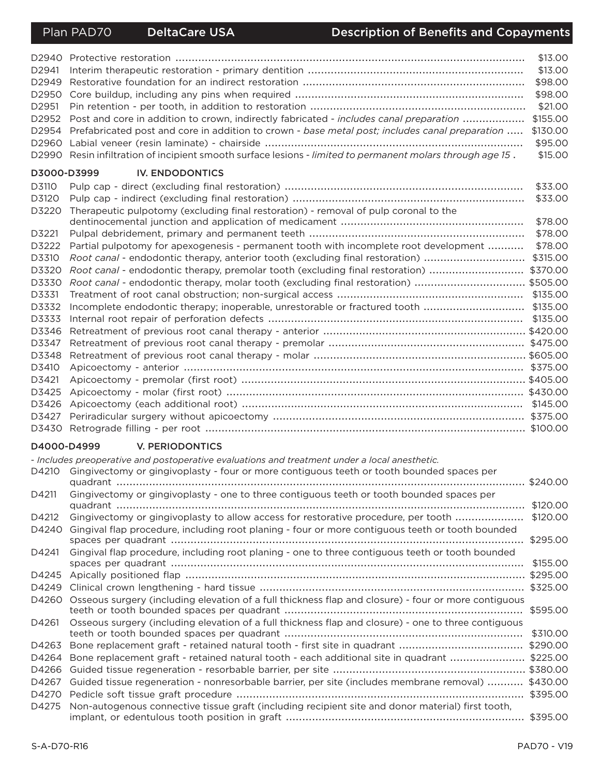| D2940             |                                                                                                      | \$13,00  |
|-------------------|------------------------------------------------------------------------------------------------------|----------|
| D <sub>2941</sub> |                                                                                                      | \$13.00  |
| D2949             |                                                                                                      | \$98.00  |
| D <sub>2950</sub> |                                                                                                      | \$98.00  |
| D2951             |                                                                                                      | \$21.00  |
| D2952             | Post and core in addition to crown, indirectly fabricated - includes canal preparation               | \$155.00 |
| D2954             | Prefabricated post and core in addition to crown - base metal post; includes canal preparation       | \$130.00 |
| D2960             |                                                                                                      | \$95.00  |
| D <sub>2990</sub> | Resin infiltration of incipient smooth surface lesions - limited to permanent molars through age 15. | \$15.00  |
|                   | D3000-D3999<br><b>IV. ENDODONTICS</b>                                                                |          |
| D3110             |                                                                                                      | \$33.00  |
| D3120             |                                                                                                      | \$33.00  |
| D3220             | Therapeutic pulpotomy (excluding final restoration) - removal of pulp coronal to the                 |          |
|                   |                                                                                                      | \$78.00  |
| D3221             |                                                                                                      | \$78.00  |
| D3222             | Partial pulpotomy for apexogenesis - permanent tooth with incomplete root development                | \$78.00  |
| D3310             | Root canal - endodontic therapy, anterior tooth (excluding final restoration)                        | \$315.00 |
| D3320             | Root canal - endodontic therapy, premolar tooth (excluding final restoration)                        | \$370.00 |
| D3330             | Root canal - endodontic therapy, molar tooth (excluding final restoration)  \$505.00                 |          |
| D3331             |                                                                                                      | \$135.00 |
| D3332             |                                                                                                      | \$135.00 |
| D3333             |                                                                                                      | \$135.00 |
| D3346             |                                                                                                      |          |
| D3347             |                                                                                                      |          |
| D3348             |                                                                                                      |          |
| D3410             |                                                                                                      |          |
| D3421             |                                                                                                      |          |
| D3425             |                                                                                                      |          |
| D3426             |                                                                                                      |          |
| D3427             |                                                                                                      |          |
| D3430             |                                                                                                      |          |

#### D4000-D4999 **V. PERIODONTICS**

|       | - Includes preoperative and postoperative evaluations and treatment under a local anesthetic.        |          |
|-------|------------------------------------------------------------------------------------------------------|----------|
| D4210 | Gingivectomy or gingivoplasty - four or more contiguous teeth or tooth bounded spaces per            | \$240,00 |
| D4211 | Gingivectomy or gingivoplasty - one to three contiguous teeth or tooth bounded spaces per            | \$120.00 |
| D4212 | Gingivectomy or gingivoplasty to allow access for restorative procedure, per tooth                   | \$120.00 |
| D4240 | Gingival flap procedure, including root planing - four or more contiguous teeth or tooth bounded     |          |
|       |                                                                                                      | \$295.00 |
| D4241 | Gingival flap procedure, including root planing - one to three contiguous teeth or tooth bounded     |          |
|       |                                                                                                      | \$155.00 |
| D4245 |                                                                                                      |          |
| D4249 |                                                                                                      |          |
| D4260 | Osseous surgery (including elevation of a full thickness flap and closure) - four or more contiguous | \$595,00 |
| D4261 | Osseous surgery (including elevation of a full thickness flap and closure) - one to three contiguous | \$310.00 |
| D4263 |                                                                                                      | \$290.00 |
| D4264 | Bone replacement graft - retained natural tooth - each additional site in quadrant                   | \$225.00 |
| D4266 |                                                                                                      |          |
| D4267 | Guided tissue regeneration - nonresorbable barrier, per site (includes membrane removal)             | \$430.00 |
| D4270 |                                                                                                      | \$395,00 |
| D4275 | Non-autogenous connective tissue graft (including recipient site and donor material) first tooth,    |          |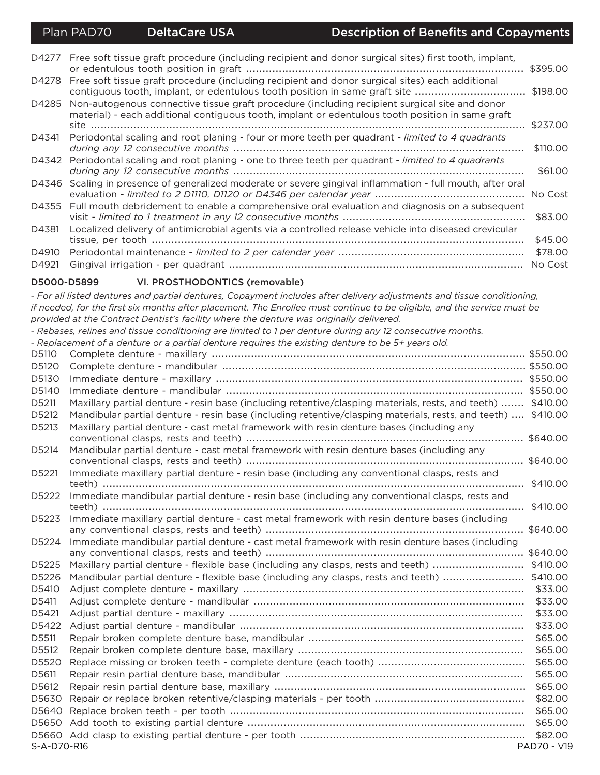|       | D4277 Free soft tissue graft procedure (including recipient and donor surgical sites) first tooth, implant,                                                                                       | \$395.00 |
|-------|---------------------------------------------------------------------------------------------------------------------------------------------------------------------------------------------------|----------|
| D4278 | Free soft tissue graft procedure (including recipient and donor surgical sites) each additional<br>contiguous tooth, implant, or edentulous tooth position in same graft site \$198.00            |          |
| D4285 | Non-autogenous connective tissue graft procedure (including recipient surgical site and donor<br>material) - each additional contiguous tooth, implant or edentulous tooth position in same graft |          |
|       |                                                                                                                                                                                                   | \$237.00 |
| D4341 | Periodontal scaling and root planing - four or more teeth per quadrant - limited to 4 quadrants                                                                                                   |          |
|       |                                                                                                                                                                                                   | \$110.00 |
|       | D4342 Periodontal scaling and root planing - one to three teeth per quadrant - limited to 4 quadrants                                                                                             | \$61,00  |
|       | D4346 Scaling in presence of generalized moderate or severe gingival inflammation - full mouth, after oral                                                                                        |          |
| D4355 | Full mouth debridement to enable a comprehensive oral evaluation and diagnosis on a subsequent                                                                                                    | \$83.00  |
| D4381 | Localized delivery of antimicrobial agents via a controlled release vehicle into diseased crevicular                                                                                              |          |
|       |                                                                                                                                                                                                   | \$45.00  |
| D4910 |                                                                                                                                                                                                   | \$78.00  |
| D4921 |                                                                                                                                                                                                   | No Cost  |

#### D5000-D5899

VI. PROSTHODONTICS (removable) - For all listed dentures and partial dentures, Copayment includes after delivery adjustments and tissue conditioning, if needed, for the first six months after placement. The Enrollee must continue to be eligible, and the service must be provided at the Contract Dentist's facility where the denture was originally delivered. - Rebases, relines and tissue conditioning are limited to 1 per denture during any 12 consecutive months. - Replacement of a denture or a partial denture requires the existing denture to be 5+ years old. D5110 D5120 D5130 D5140 D5211 Maxillary partial denture - resin base (including retentive/clasping materials, rests, and teeth) ....... \$410.00 D5212 Mandibular partial denture - resin base (including retentive/clasping materials, rests, and teeth) .... \$410.00 D5213 Maxillary partial denture - cast metal framework with resin denture bases (including any D5214 Mandibular partial denture - cast metal framework with resin denture bases (including any D5221 Immediate maxillary partial denture - resin base (including any conventional clasps, rests and D5222 Immediate mandibular partial denture - resin base (including any conventional clasps, rests and D5223 Immediate maxillary partial denture - cast metal framework with resin denture bases (including D5224 Immediate mandibular partial denture - cast metal framework with resin denture bases (including D5225 Maxillary partial denture - flexible base (including any clasps, rests and teeth) ............................ \$410.00 D5226 Mandibular partial denture - flexible base (including any clasps, rests and teeth) ..........................\$410.00 D5410 D5411 D5421 D5511 D5512 \$65.00 D5611 D5612 

S-A-D70-R16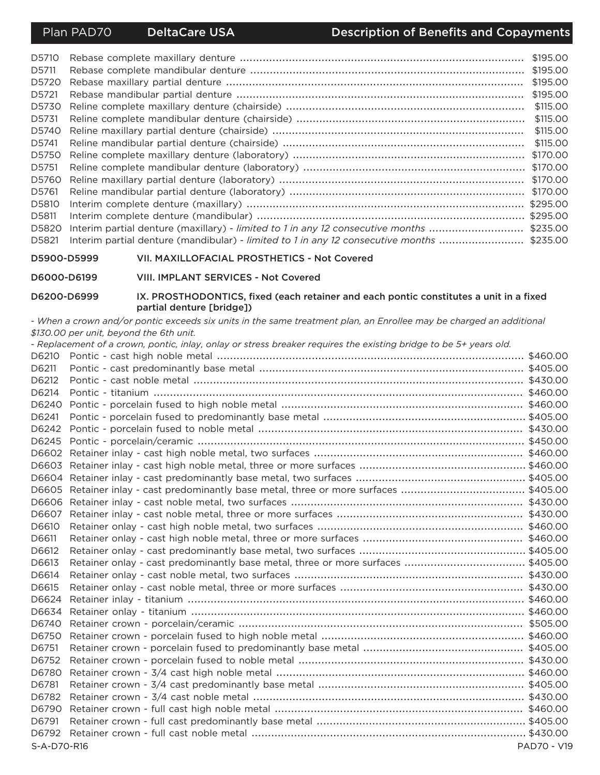| D5710 |                                                                                            | \$195.00 |
|-------|--------------------------------------------------------------------------------------------|----------|
| D5711 |                                                                                            | \$195,00 |
| D5720 |                                                                                            | \$195,00 |
| D5721 |                                                                                            | \$195,00 |
| D5730 |                                                                                            | \$115,00 |
| D5731 |                                                                                            | \$115,00 |
| D5740 |                                                                                            | \$115.00 |
| D5741 |                                                                                            | \$115,00 |
| D5750 |                                                                                            | \$170.00 |
| D5751 |                                                                                            | \$170.00 |
| D5760 |                                                                                            | \$170.00 |
| D5761 |                                                                                            | \$170.00 |
| D5810 |                                                                                            | \$295.00 |
| D5811 |                                                                                            |          |
| D5820 | Interim partial denture (maxillary) - limited to 1 in any 12 consecutive months  \$235.00  |          |
| D5821 | Interim partial denture (mandibular) - limited to 1 in any 12 consecutive months  \$235,00 |          |

D5900-D5999 VII. MAXILLOFACIAL PROSTHETICS - Not Covered

D6000-D6199 VIII. IMPLANT SERVICES - Not Covered

#### D6200-D6999 IX. PROSTHODONTICS, fixed (each retainer and each pontic constitutes a unit in a fixed partial denture [bridge])

- When a crown and/or pontic exceeds six units in the same treatment plan, an Enrollee may be charged an additional \$130.00 per unit, beyond the 6th unit.

- Replacement of a crown, pontic, inlay, onlay or stress breaker requires the existing bridge to be 5+ years old.

| D6210       |                                                                                  |                    |
|-------------|----------------------------------------------------------------------------------|--------------------|
| D6211       |                                                                                  |                    |
| D6212       |                                                                                  |                    |
| D6214       |                                                                                  |                    |
| D6240       |                                                                                  |                    |
| D6241       |                                                                                  |                    |
| D6242       |                                                                                  |                    |
|             |                                                                                  |                    |
|             |                                                                                  |                    |
|             |                                                                                  |                    |
|             |                                                                                  |                    |
|             |                                                                                  |                    |
| D6606       |                                                                                  |                    |
| D6607       |                                                                                  |                    |
| D6610       |                                                                                  |                    |
| D6611       |                                                                                  |                    |
| D6612       |                                                                                  |                    |
| D6613       | Retainer onlay - cast predominantly base metal, three or more surfaces  \$405.00 |                    |
| D6614       |                                                                                  |                    |
| D6615       |                                                                                  |                    |
| D6624       |                                                                                  |                    |
| D6634       |                                                                                  |                    |
| D6740       |                                                                                  |                    |
| D6750       |                                                                                  |                    |
| D6751       |                                                                                  |                    |
| D6752       |                                                                                  |                    |
| D6780       |                                                                                  |                    |
| D6781       |                                                                                  |                    |
| D6782       |                                                                                  |                    |
| D6790       |                                                                                  |                    |
| D6791       |                                                                                  |                    |
| D6792       |                                                                                  |                    |
| S-A-D70-R16 |                                                                                  | <b>PAD70 - V19</b> |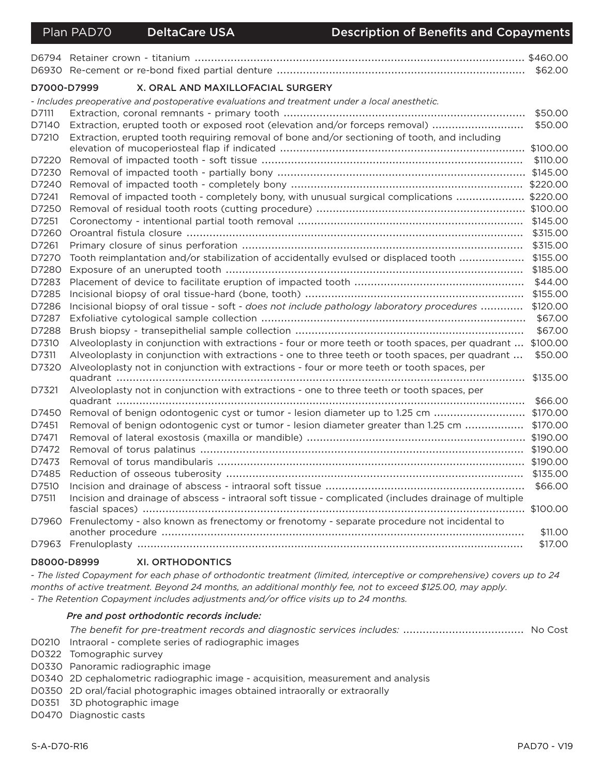| D7000-D7999 | X. ORAL AND MAXILLOFACIAL SURGERY                                                                          |          |
|-------------|------------------------------------------------------------------------------------------------------------|----------|
|             | - Includes preoperative and postoperative evaluations and treatment under a local anesthetic.              |          |
| D7111       |                                                                                                            | \$50.00  |
| D7140       | Extraction, erupted tooth or exposed root (elevation and/or forceps removal)                               | \$50.00  |
| D7210       | Extraction, erupted tooth requiring removal of bone and/or sectioning of tooth, and including              |          |
|             |                                                                                                            | \$100.00 |
| D7220       |                                                                                                            | \$110,00 |
| D7230       |                                                                                                            |          |
| D7240       |                                                                                                            |          |
| D7241       | Removal of impacted tooth - completely bony, with unusual surgical complications  \$220.00                 |          |
| D7250       |                                                                                                            |          |
| D7251       |                                                                                                            |          |
| D7260       |                                                                                                            | \$315.00 |
| D7261       |                                                                                                            | \$315.00 |
| D7270       | Tooth reimplantation and/or stabilization of accidentally evulsed or displaced tooth                       | \$155.00 |
| D7280       |                                                                                                            | \$185.00 |
| D7283       |                                                                                                            | \$44.00  |
| D7285       |                                                                                                            | \$155.00 |
| D7286       | Incisional biopsy of oral tissue - soft - does not include pathology laboratory procedures                 | \$120.00 |
| D7287       |                                                                                                            | \$67,00  |
| D7288       |                                                                                                            | \$67.00  |
| D7310       | Alveoloplasty in conjunction with extractions - four or more teeth or tooth spaces, per quadrant  \$100.00 |          |
| D7311       | Alveoloplasty in conjunction with extractions - one to three teeth or tooth spaces, per quadrant           | \$50.00  |
| D7320       | Alveoloplasty not in conjunction with extractions - four or more teeth or tooth spaces, per                |          |
|             |                                                                                                            | \$135,00 |
| D7321       | Alveoloplasty not in conjunction with extractions - one to three teeth or tooth spaces, per                |          |
|             |                                                                                                            | \$66,00  |
| D7450       | Removal of benign odontogenic cyst or tumor - lesion diameter up to 1.25 cm                                | \$170.00 |
| D7451       | Removal of benign odontogenic cyst or tumor - lesion diameter greater than 1.25 cm                         | \$170.00 |
| D7471       |                                                                                                            |          |
| D7472       |                                                                                                            |          |
| D7473       |                                                                                                            |          |
| D7485       |                                                                                                            | \$135.00 |
| D7510       |                                                                                                            | \$66,00  |
| D7511       | Incision and drainage of abscess - intraoral soft tissue - complicated (includes drainage of multiple      |          |
|             |                                                                                                            |          |
| D7960       | Frenulectomy - also known as frenectomy or frenotomy - separate procedure not incidental to                |          |
|             |                                                                                                            | \$11.00  |
|             |                                                                                                            | \$17.00  |

#### D8000-D8999 **XI. ORTHODONTICS**

- The listed Copayment for each phase of orthodontic treatment (limited, interceptive or comprehensive) covers up to 24 months of active treatment. Beyond 24 months, an additional monthly fee, not to exceed \$125.00, may apply. - The Retention Copayment includes adjustments and/or office visits up to 24 months.

#### Pre and post orthodontic records include:

D0210 Intraoral - complete series of radiographic images

- D0322 Tomographic survey
- D0330 Panoramic radiographic image
- D0340 2D cephalometric radiographic image acquisition, measurement and analysis
- D0350 2D oral/facial photographic images obtained intraorally or extraorally
- D0351 3D photographic image
- D0470 Diagnostic casts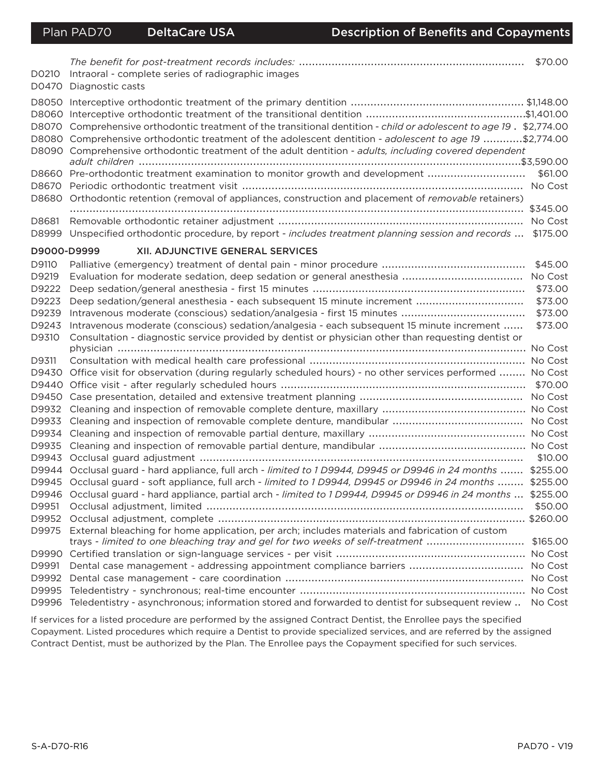| D0210<br>D0470            | Intraoral - complete series of radiographic images<br>Diagnostic casts                                                                                                                                                                                                                                                             | \$70.00  |
|---------------------------|------------------------------------------------------------------------------------------------------------------------------------------------------------------------------------------------------------------------------------------------------------------------------------------------------------------------------------|----------|
| D8060<br>D8070            | Comprehensive orthodontic treatment of the transitional dentition - child or adolescent to age 19. \$2,774.00<br>D8080 Comprehensive orthodontic treatment of the adolescent dentition - adolescent to age 19 \$2,774.00<br>D8090 Comprehensive orthodontic treatment of the adult dentition - adults, including covered dependent |          |
| D8660<br>D8670 -<br>D8680 | Pre-orthodontic treatment examination to monitor growth and development<br>Orthodontic retention (removal of appliances, construction and placement of removable retainers)                                                                                                                                                        | \$61.00  |
| D8681<br>D8999            | Unspecified orthodontic procedure, by report - includes treatment planning session and records  \$175.00                                                                                                                                                                                                                           | \$345.00 |
| D9000-D9999               | <b>XII. ADJUNCTIVE GENERAL SERVICES</b>                                                                                                                                                                                                                                                                                            |          |
| D9110                     |                                                                                                                                                                                                                                                                                                                                    | \$45.00  |
| D9219                     |                                                                                                                                                                                                                                                                                                                                    |          |
| D9222                     |                                                                                                                                                                                                                                                                                                                                    | \$73.00  |
| D9223                     |                                                                                                                                                                                                                                                                                                                                    | \$73.00  |
| D9239                     |                                                                                                                                                                                                                                                                                                                                    | \$73.00  |
| D9243                     | Intravenous moderate (conscious) sedation/analgesia - each subsequent 15 minute increment                                                                                                                                                                                                                                          | \$73.00  |
| D9310                     | Consultation - diagnostic service provided by dentist or physician other than requesting dentist or                                                                                                                                                                                                                                |          |
|                           |                                                                                                                                                                                                                                                                                                                                    | No Cost  |
| D9311                     |                                                                                                                                                                                                                                                                                                                                    | No Cost  |
| D9430                     | Office visit for observation (during regularly scheduled hours) - no other services performed  No Cost                                                                                                                                                                                                                             |          |
|                           |                                                                                                                                                                                                                                                                                                                                    | \$70.00  |
|                           |                                                                                                                                                                                                                                                                                                                                    | No Cost  |
| D9932                     |                                                                                                                                                                                                                                                                                                                                    |          |
| D9933                     |                                                                                                                                                                                                                                                                                                                                    | No Cost  |
|                           |                                                                                                                                                                                                                                                                                                                                    |          |
|                           |                                                                                                                                                                                                                                                                                                                                    |          |
|                           |                                                                                                                                                                                                                                                                                                                                    | \$10.00  |
|                           | D9944 Occlusal guard - hard appliance, full arch - limited to 1 D9944, D9945 or D9946 in 24 months  \$255.00                                                                                                                                                                                                                       |          |
|                           | D9945 Occlusal guard - soft appliance, full arch - limited to 1 D9944, D9945 or D9946 in 24 months  \$255.00                                                                                                                                                                                                                       |          |
|                           | D9946 Occlusal guard - hard appliance, partial arch - limited to 1 D9944, D9945 or D9946 in 24 months  \$255.00                                                                                                                                                                                                                    |          |
| D9951                     |                                                                                                                                                                                                                                                                                                                                    | \$50.00  |
| D9952                     |                                                                                                                                                                                                                                                                                                                                    |          |
| D9975                     | External bleaching for home application, per arch; includes materials and fabrication of custom<br>trays - limited to one bleaching tray and gel for two weeks of self-treatment                                                                                                                                                   | \$165.00 |
|                           |                                                                                                                                                                                                                                                                                                                                    | No Cost  |
| D9991                     |                                                                                                                                                                                                                                                                                                                                    | No Cost  |
| D9992                     |                                                                                                                                                                                                                                                                                                                                    | No Cost  |
| D9995                     |                                                                                                                                                                                                                                                                                                                                    | No Cost  |
| D9996                     | Teledentistry - asynchronous; information stored and forwarded to dentist for subsequent review                                                                                                                                                                                                                                    | No Cost  |

If services for a listed procedure are performed by the assigned Contract Dentist, the Enrollee pays the specified Copayment. Listed procedures which require a Dentist to provide specialized services, and are referred by the assigned Contract Dentist, must be authorized by the Plan. The Enrollee pays the Copayment specified for such services.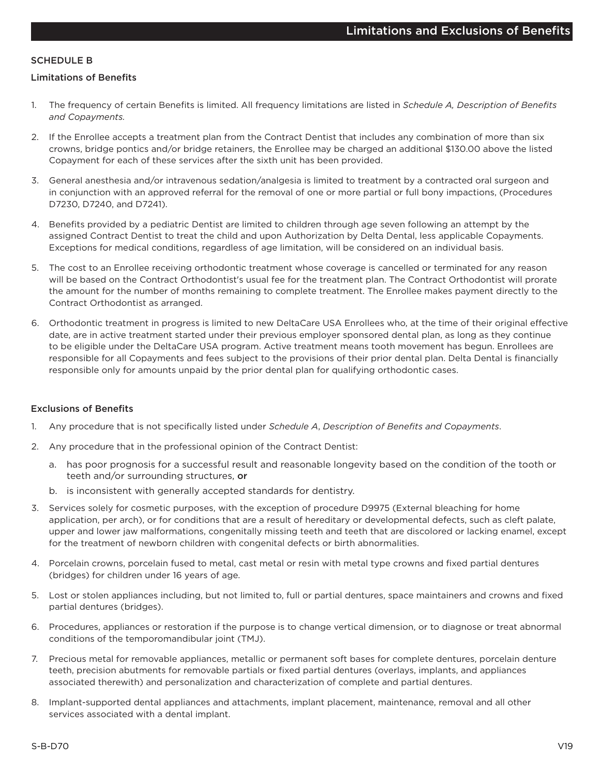#### **SCHEDULE B**

#### **Limitations of Benefits**

- $1<sup>1</sup>$ The frequency of certain Benefits is limited. All frequency limitations are listed in Schedule A, Description of Benefits and Copayments.
- 2. If the Enrollee accepts a treatment plan from the Contract Dentist that includes any combination of more than six crowns, bridge pontics and/or bridge retainers, the Enrollee may be charged an additional \$130.00 above the listed Copayment for each of these services after the sixth unit has been provided.
- 3. General anesthesia and/or intravenous sedation/analgesia is limited to treatment by a contracted oral surgeon and in conjunction with an approved referral for the removal of one or more partial or full bony impactions, (Procedures D7230, D7240, and D7241).
- 4. Benefits provided by a pediatric Dentist are limited to children through age seven following an attempt by the assigned Contract Dentist to treat the child and upon Authorization by Delta Dental, less applicable Copayments. Exceptions for medical conditions, regardless of age limitation, will be considered on an individual basis.
- The cost to an Enrollee receiving orthodontic treatment whose coverage is cancelled or terminated for any reason 5. will be based on the Contract Orthodontist's usual fee for the treatment plan. The Contract Orthodontist will prorate the amount for the number of months remaining to complete treatment. The Enrollee makes payment directly to the Contract Orthodontist as arranged.
- 6. Orthodontic treatment in progress is limited to new DeltaCare USA Enrollees who, at the time of their original effective date, are in active treatment started under their previous employer sponsored dental plan, as long as they continue to be eligible under the DeltaCare USA program. Active treatment means tooth movement has begun. Enrollees are responsible for all Copayments and fees subject to the provisions of their prior dental plan. Delta Dental is financially responsible only for amounts unpaid by the prior dental plan for qualifying orthodontic cases.

#### **Exclusions of Benefits**

- Any procedure that is not specifically listed under Schedule A, Description of Benefits and Copayments. 1.
- 2. Any procedure that in the professional opinion of the Contract Dentist:
	- a. has poor prognosis for a successful result and reasonable longevity based on the condition of the tooth or teeth and/or surrounding structures, or
	- b. is inconsistent with generally accepted standards for dentistry.
- 3. Services solely for cosmetic purposes, with the exception of procedure D9975 (External bleaching for home application, per arch), or for conditions that are a result of hereditary or developmental defects, such as cleft palate, upper and lower jaw malformations, congenitally missing teeth and teeth that are discolored or lacking enamel, except for the treatment of newborn children with congenital defects or birth abnormalities.
- 4. Porcelain crowns, porcelain fused to metal, cast metal or resin with metal type crowns and fixed partial dentures (bridges) for children under 16 years of age.
- 5. Lost or stolen appliances including, but not limited to, full or partial dentures, space maintainers and crowns and fixed partial dentures (bridges).
- 6. Procedures, appliances or restoration if the purpose is to change vertical dimension, or to diagnose or treat abnormal conditions of the temporomandibular joint (TMJ).
- $7<sub>1</sub>$ Precious metal for removable appliances, metallic or permanent soft bases for complete dentures, porcelain denture teeth, precision abutments for removable partials or fixed partial dentures (overlays, implants, and appliances associated therewith) and personalization and characterization of complete and partial dentures.
- 8. Implant-supported dental appliances and attachments, implant placement, maintenance, removal and all other services associated with a dental implant.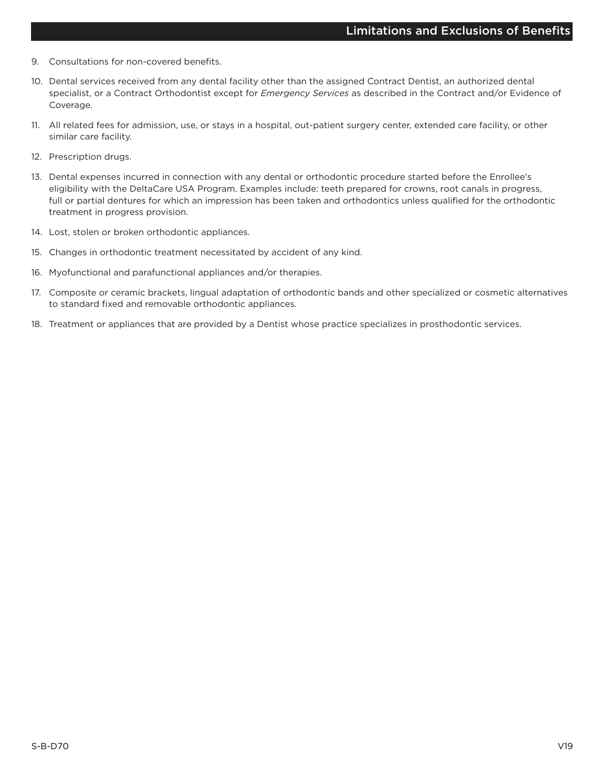- 9. Consultations for non-covered benefits.
- 10. Dental services received from any dental facility other than the assigned Contract Dentist, an authorized dental specialist, or a Contract Orthodontist except for Emergency Services as described in the Contract and/or Evidence of Coverage.
- 11. All related fees for admission, use, or stays in a hospital, out-patient surgery center, extended care facility, or other similar care facility.
- 12. Prescription drugs.
- 13. Dental expenses incurred in connection with any dental or orthodontic procedure started before the Enrollee's eligibility with the DeltaCare USA Program. Examples include: teeth prepared for crowns, root canals in progress, full or partial dentures for which an impression has been taken and orthodontics unless qualified for the orthodontic treatment in progress provision.
- 14. Lost, stolen or broken orthodontic appliances.
- 15. Changes in orthodontic treatment necessitated by accident of any kind.
- 16. Myofunctional and parafunctional appliances and/or therapies.
- 17. Composite or ceramic brackets, lingual adaptation of orthodontic bands and other specialized or cosmetic alternatives to standard fixed and removable orthodontic appliances.
- 18. Treatment or appliances that are provided by a Dentist whose practice specializes in prosthodontic services.